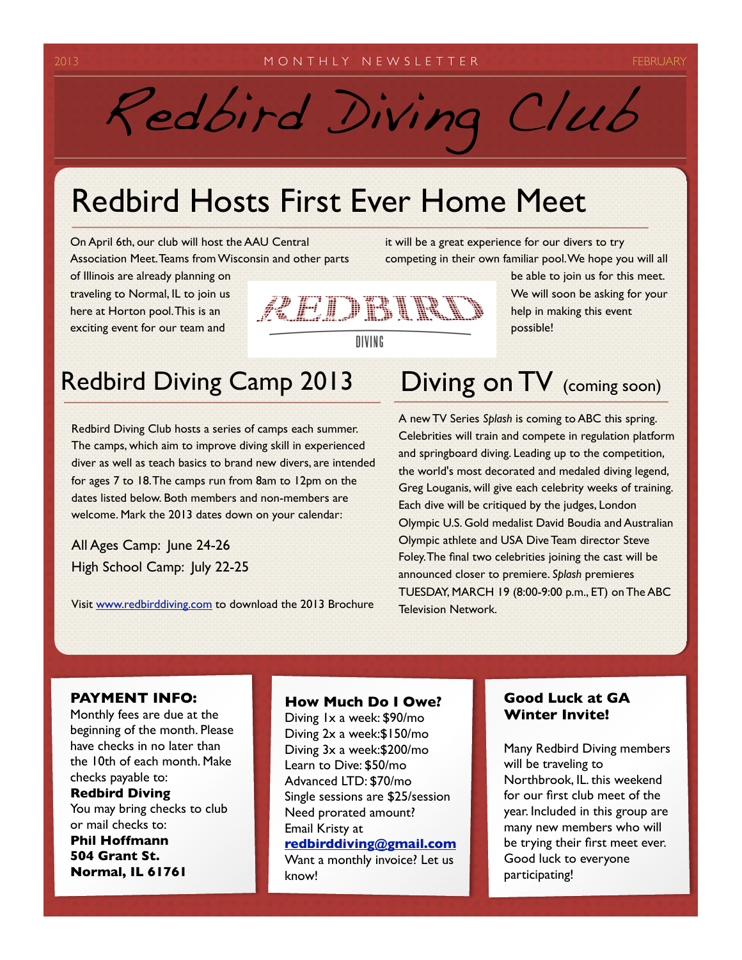# Redbird Diving Club

## Redbird Hosts First Ever Home Meet

On April 6th, our club will host the AAU Central Association Meet. Teams from Wisconsin and other parts

of Illinois are already planning on traveling to Normal, IL to join us here at Horton pool. This is an exciting event for our team and



it will be a great experience for our divers to try competing in their own familiar pool. We hope you will all be able to join us for this meet.

> We will soon be asking for your help in making this event possible!

### Redbird Diving Camp 2013 Diving on TV (coming soon)

Redbird Diving Club hosts a series of camps each summer. The camps, which aim to improve diving skill in experienced diver as well as teach basics to brand new divers, are intended for ages 7 to 18. The camps run from 8am to 12pm on the dates listed below. Both members and non-members are welcome. Mark the 2013 dates down on your calendar:

All Ages Camp: June 24-26 High School Camp: July 22-25

Visit [www.redbirddiving.com](http://www.redbirddiving.com) to download the 2013 Brochure

A new TV Series *Splash* is coming to ABC this spring. Celebrities will train and compete in regulation platform and springboard diving. Leading up to the competition, the world's most decorated and medaled diving legend, Greg Louganis, will give each celebrity weeks of training. Each dive will be critiqued by the judges, London Olympic U.S. Gold medalist David Boudia and Australian Olympic athlete and USA Dive Team director Steve Foley. The final two celebrities joining the cast will be announced closer to premiere. *Splash* premieres TUESDAY, MARCH 19 (8:00-9:00 p.m., ET) on The ABC Television Network.

### **PAYMENT INFO:**

Monthly fees are due at the beginning of the month. Please have checks in no later than the 10th of each month. Make checks payable to:

### **Redbird Diving**

You may bring checks to club or mail checks to:

**Phil Hoffmann 504 Grant St. Normal, IL 61761**

### **How Much Do I Owe?**

Diving 1x a week: \$90/mo Diving 2x a week:\$150/mo Diving 3x a week:\$200/mo Learn to Dive: \$50/mo Advanced LTD: \$70/mo Single sessions are \$25/session Need prorated amount? Email Kristy at **[redbirddiving@gmail.com](mailto:redbirddiving@gmail.com)** Want a monthly invoice? Let us know!

### **Good Luck at GA Winter Invite!**

Many Redbird Diving members will be traveling to Northbrook, IL. this weekend for our first club meet of the year. Included in this group are many new members who will be trying their first meet ever. Good luck to everyone participating!